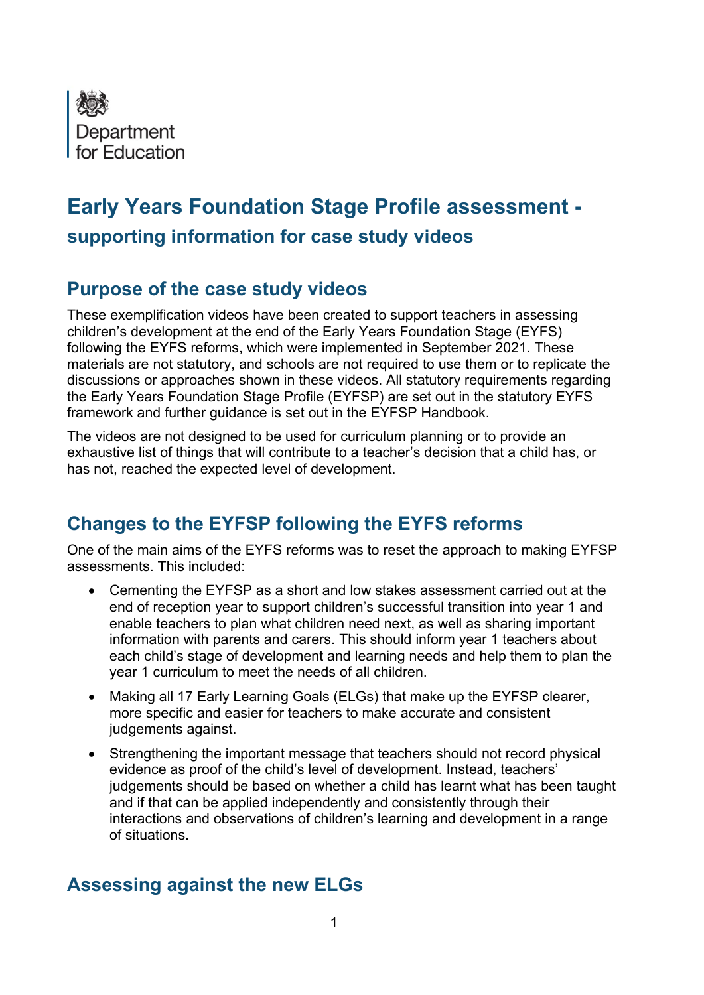

# **Early Years Foundation Stage Profile assessment supporting information for case study videos**

#### **Purpose of the case study videos**

These exemplification videos have been created to support teachers in assessing children's development at the end of the Early Years Foundation Stage (EYFS) following the EYFS reforms, which were implemented in September 2021. These materials are not statutory, and schools are not required to use them or to replicate the discussions or approaches shown in these videos. All statutory requirements regarding the Early Years Foundation Stage Profile (EYFSP) are set out in the statutory EYFS framework and further guidance is set out in the EYFSP Handbook.

The videos are not designed to be used for curriculum planning or to provide an exhaustive list of things that will contribute to a teacher's decision that a child has, or has not, reached the expected level of development.

# **Changes to the EYFSP following the EYFS reforms**

One of the main aims of the EYFS reforms was to reset the approach to making EYFSP assessments. This included:

- Cementing the EYFSP as a short and low stakes assessment carried out at the end of reception year to support children's successful transition into year 1 and enable teachers to plan what children need next, as well as sharing important information with parents and carers. This should inform year 1 teachers about each child's stage of development and learning needs and help them to plan the year 1 curriculum to meet the needs of all children.
- Making all 17 Early Learning Goals (ELGs) that make up the EYFSP clearer, more specific and easier for teachers to make accurate and consistent judgements against.
- Strengthening the important message that teachers should not record physical evidence as proof of the child's level of development. Instead, teachers' judgements should be based on whether a child has learnt what has been taught and if that can be applied independently and consistently through their interactions and observations of children's learning and development in a range of situations.

## **Assessing against the new ELGs**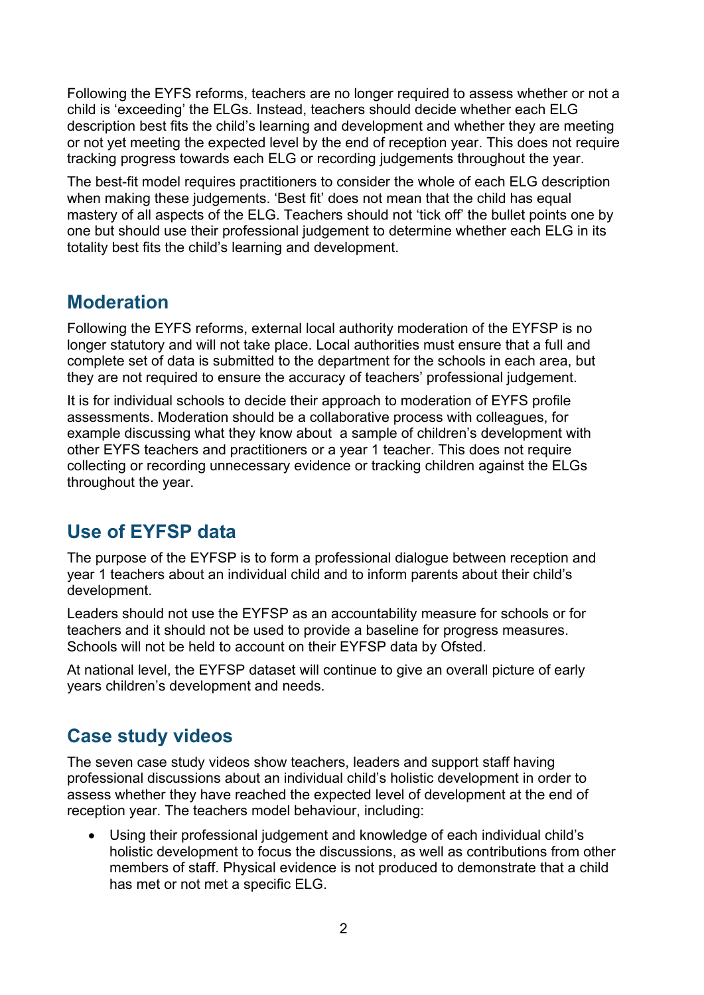Following the EYFS reforms, teachers are no longer required to assess whether or not a child is 'exceeding' the ELGs. Instead, teachers should decide whether each ELG description best fits the child's learning and development and whether they are meeting or not yet meeting the expected level by the end of reception year. This does not require tracking progress towards each ELG or recording judgements throughout the year.

The best-fit model requires practitioners to consider the whole of each ELG description when making these judgements. 'Best fit' does not mean that the child has equal mastery of all aspects of the ELG. Teachers should not 'tick off' the bullet points one by one but should use their professional judgement to determine whether each ELG in its totality best fits the child's learning and development.

#### **Moderation**

Following the EYFS reforms, external local authority moderation of the EYFSP is no longer statutory and will not take place. Local authorities must ensure that a full and complete set of data is submitted to the department for the schools in each area, but they are not required to ensure the accuracy of teachers' professional judgement.

It is for individual schools to decide their approach to moderation of EYFS profile assessments. Moderation should be a collaborative process with colleagues, for example discussing what they know about a sample of children's development with other EYFS teachers and practitioners or a year 1 teacher. This does not require collecting or recording unnecessary evidence or tracking children against the ELGs throughout the year.

# **Use of EYFSP data**

The purpose of the EYFSP is to form a professional dialogue between reception and year 1 teachers about an individual child and to inform parents about their child's development.

Leaders should not use the EYFSP as an accountability measure for schools or for teachers and it should not be used to provide a baseline for progress measures. Schools will not be held to account on their EYFSP data by Ofsted.

At national level, the EYFSP dataset will continue to give an overall picture of early years children's development and needs.

## **Case study videos**

The seven case study videos show teachers, leaders and support staff having professional discussions about an individual child's holistic development in order to assess whether they have reached the expected level of development at the end of reception year. The teachers model behaviour, including:

• Using their professional judgement and knowledge of each individual child's holistic development to focus the discussions, as well as contributions from other members of staff. Physical evidence is not produced to demonstrate that a child has met or not met a specific ELG.